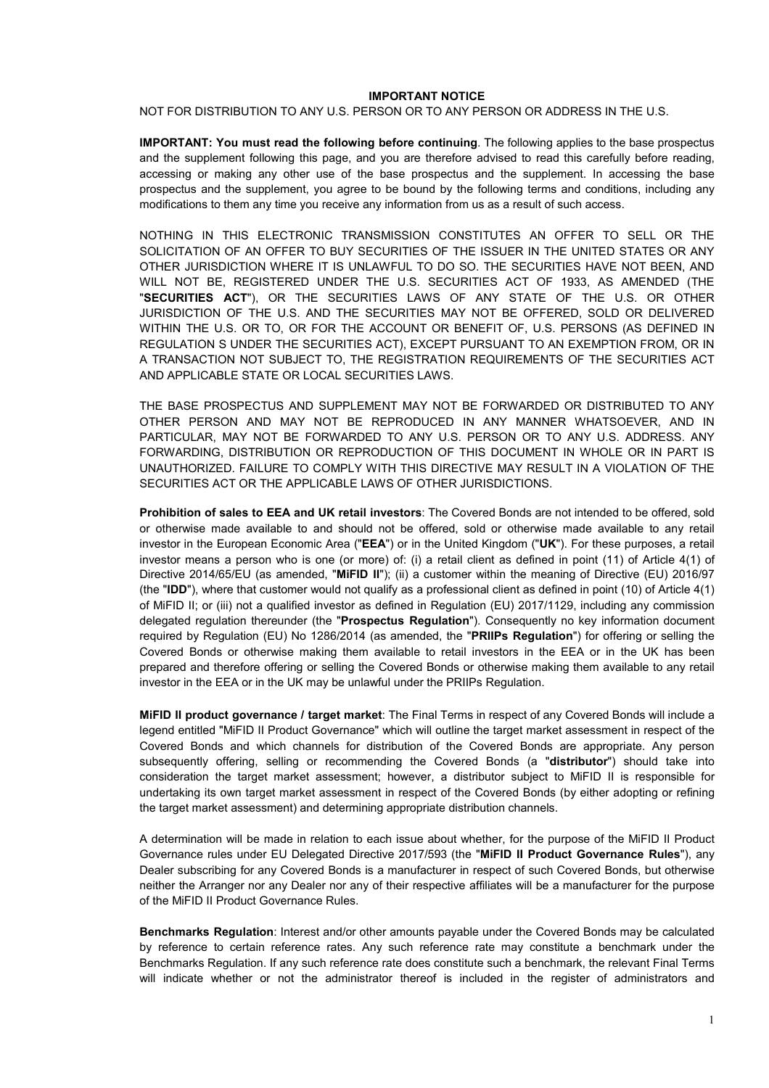#### **IMPORTANT NOTICE**

NOT FOR DISTRIBUTION TO ANY U.S. PERSON OR TO ANY PERSON OR ADDRESS IN THE U.S.

**IMPORTANT: You must read the following before continuing**. The following applies to the base prospectus and the supplement following this page, and you are therefore advised to read this carefully before reading, accessing or making any other use of the base prospectus and the supplement. In accessing the base prospectus and the supplement, you agree to be bound by the following terms and conditions, including any modifications to them any time you receive any information from us as a result of such access.

NOTHING IN THIS ELECTRONIC TRANSMISSION CONSTITUTES AN OFFER TO SELL OR THE SOLICITATION OF AN OFFER TO BUY SECURITIES OF THE ISSUER IN THE UNITED STATES OR ANY OTHER JURISDICTION WHERE IT IS UNLAWFUL TO DO SO. THE SECURITIES HAVE NOT BEEN, AND WILL NOT BE, REGISTERED UNDER THE U.S. SECURITIES ACT OF 1933, AS AMENDED (THE "**SECURITIES ACT**"), OR THE SECURITIES LAWS OF ANY STATE OF THE U.S. OR OTHER JURISDICTION OF THE U.S. AND THE SECURITIES MAY NOT BE OFFERED, SOLD OR DELIVERED WITHIN THE U.S. OR TO, OR FOR THE ACCOUNT OR BENEFIT OF, U.S. PERSONS (AS DEFINED IN REGULATION S UNDER THE SECURITIES ACT), EXCEPT PURSUANT TO AN EXEMPTION FROM, OR IN A TRANSACTION NOT SUBJECT TO, THE REGISTRATION REQUIREMENTS OF THE SECURITIES ACT AND APPLICABLE STATE OR LOCAL SECURITIES LAWS.

THE BASE PROSPECTUS AND SUPPLEMENT MAY NOT BE FORWARDED OR DISTRIBUTED TO ANY OTHER PERSON AND MAY NOT BE REPRODUCED IN ANY MANNER WHATSOEVER, AND IN PARTICULAR, MAY NOT BE FORWARDED TO ANY U.S. PERSON OR TO ANY U.S. ADDRESS. ANY FORWARDING, DISTRIBUTION OR REPRODUCTION OF THIS DOCUMENT IN WHOLE OR IN PART IS UNAUTHORIZED. FAILURE TO COMPLY WITH THIS DIRECTIVE MAY RESULT IN A VIOLATION OF THE SECURITIES ACT OR THE APPLICABLE LAWS OF OTHER JURISDICTIONS.

**Prohibition of sales to EEA and UK retail investors**: The Covered Bonds are not intended to be offered, sold or otherwise made available to and should not be offered, sold or otherwise made available to any retail investor in the European Economic Area ("**EEA**") or in the United Kingdom ("**UK**"). For these purposes, a retail investor means a person who is one (or more) of: (i) a retail client as defined in point (11) of Article 4(1) of Directive 2014/65/EU (as amended, "**MiFID II**"); (ii) a customer within the meaning of Directive (EU) 2016/97 (the "**IDD**"), where that customer would not qualify as a professional client as defined in point (10) of Article 4(1) of MiFID II; or (iii) not a qualified investor as defined in Regulation (EU) 2017/1129, including any commission delegated regulation thereunder (the "**Prospectus Regulation**"). Consequently no key information document required by Regulation (EU) No 1286/2014 (as amended, the "**PRIIPs Regulation**") for offering or selling the Covered Bonds or otherwise making them available to retail investors in the EEA or in the UK has been prepared and therefore offering or selling the Covered Bonds or otherwise making them available to any retail investor in the EEA or in the UK may be unlawful under the PRIIPs Regulation.

**MiFID II product governance / target market**: The Final Terms in respect of any Covered Bonds will include a legend entitled "MiFID II Product Governance" which will outline the target market assessment in respect of the Covered Bonds and which channels for distribution of the Covered Bonds are appropriate. Any person subsequently offering, selling or recommending the Covered Bonds (a "**distributor**") should take into consideration the target market assessment; however, a distributor subject to MiFID II is responsible for undertaking its own target market assessment in respect of the Covered Bonds (by either adopting or refining the target market assessment) and determining appropriate distribution channels.

A determination will be made in relation to each issue about whether, for the purpose of the MiFID II Product Governance rules under EU Delegated Directive 2017/593 (the "**MiFID II Product Governance Rules**"), any Dealer subscribing for any Covered Bonds is a manufacturer in respect of such Covered Bonds, but otherwise neither the Arranger nor any Dealer nor any of their respective affiliates will be a manufacturer for the purpose of the MiFID II Product Governance Rules.

**Benchmarks Regulation**: Interest and/or other amounts payable under the Covered Bonds may be calculated by reference to certain reference rates. Any such reference rate may constitute a benchmark under the Benchmarks Regulation. If any such reference rate does constitute such a benchmark, the relevant Final Terms will indicate whether or not the administrator thereof is included in the register of administrators and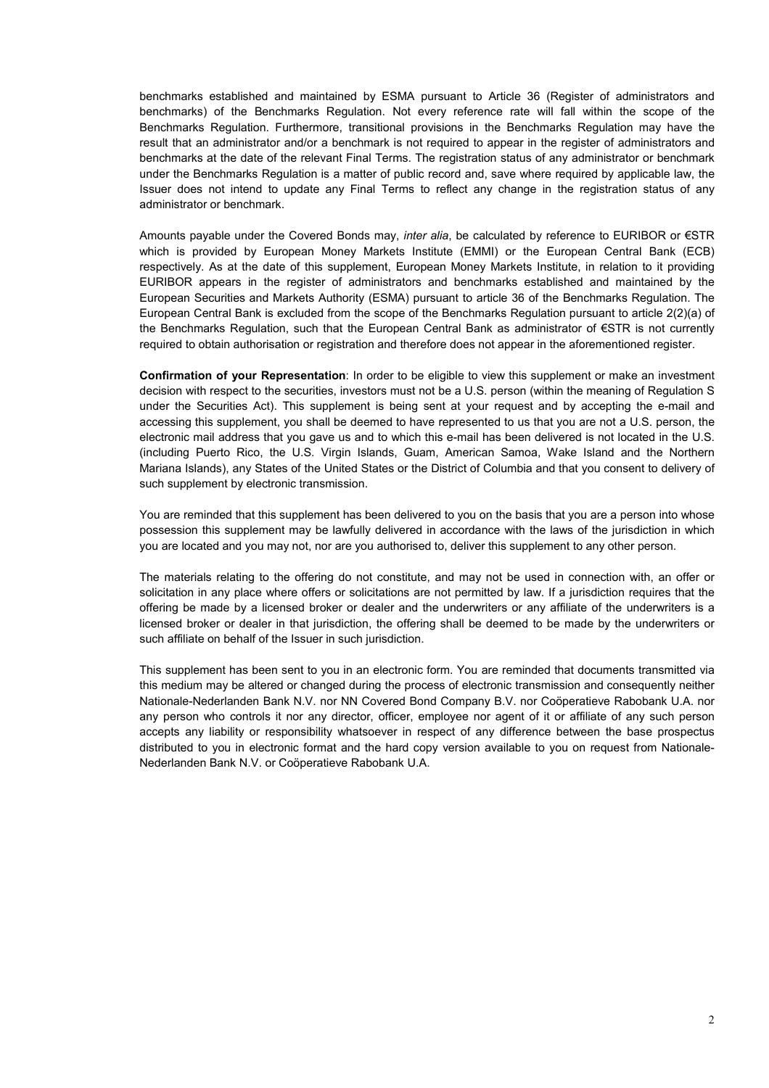benchmarks established and maintained by ESMA pursuant to Article 36 (Register of administrators and benchmarks) of the Benchmarks Regulation. Not every reference rate will fall within the scope of the Benchmarks Regulation. Furthermore, transitional provisions in the Benchmarks Regulation may have the result that an administrator and/or a benchmark is not required to appear in the register of administrators and benchmarks at the date of the relevant Final Terms. The registration status of any administrator or benchmark under the Benchmarks Regulation is a matter of public record and, save where required by applicable law, the Issuer does not intend to update any Final Terms to reflect any change in the registration status of any administrator or benchmark.

Amounts payable under the Covered Bonds may, *inter alia*, be calculated by reference to EURIBOR or €STR which is provided by European Money Markets Institute (EMMI) or the European Central Bank (ECB) respectively. As at the date of this supplement, European Money Markets Institute, in relation to it providing EURIBOR appears in the register of administrators and benchmarks established and maintained by the European Securities and Markets Authority (ESMA) pursuant to article 36 of the Benchmarks Regulation. The European Central Bank is excluded from the scope of the Benchmarks Regulation pursuant to article 2(2)(a) of the Benchmarks Regulation, such that the European Central Bank as administrator of €STR is not currently required to obtain authorisation or registration and therefore does not appear in the aforementioned register.

**Confirmation of your Representation**: In order to be eligible to view this supplement or make an investment decision with respect to the securities, investors must not be a U.S. person (within the meaning of Regulation S under the Securities Act). This supplement is being sent at your request and by accepting the e-mail and accessing this supplement, you shall be deemed to have represented to us that you are not a U.S. person, the electronic mail address that you gave us and to which this e-mail has been delivered is not located in the U.S. (including Puerto Rico, the U.S. Virgin Islands, Guam, American Samoa, Wake Island and the Northern Mariana Islands), any States of the United States or the District of Columbia and that you consent to delivery of such supplement by electronic transmission.

You are reminded that this supplement has been delivered to you on the basis that you are a person into whose possession this supplement may be lawfully delivered in accordance with the laws of the jurisdiction in which you are located and you may not, nor are you authorised to, deliver this supplement to any other person.

The materials relating to the offering do not constitute, and may not be used in connection with, an offer or solicitation in any place where offers or solicitations are not permitted by law. If a jurisdiction requires that the offering be made by a licensed broker or dealer and the underwriters or any affiliate of the underwriters is a licensed broker or dealer in that jurisdiction, the offering shall be deemed to be made by the underwriters or such affiliate on behalf of the Issuer in such jurisdiction.

This supplement has been sent to you in an electronic form. You are reminded that documents transmitted via this medium may be altered or changed during the process of electronic transmission and consequently neither Nationale-Nederlanden Bank N.V. nor NN Covered Bond Company B.V. nor Coöperatieve Rabobank U.A. nor any person who controls it nor any director, officer, employee nor agent of it or affiliate of any such person accepts any liability or responsibility whatsoever in respect of any difference between the base prospectus distributed to you in electronic format and the hard copy version available to you on request from Nationale-Nederlanden Bank N.V. or Coöperatieve Rabobank U.A.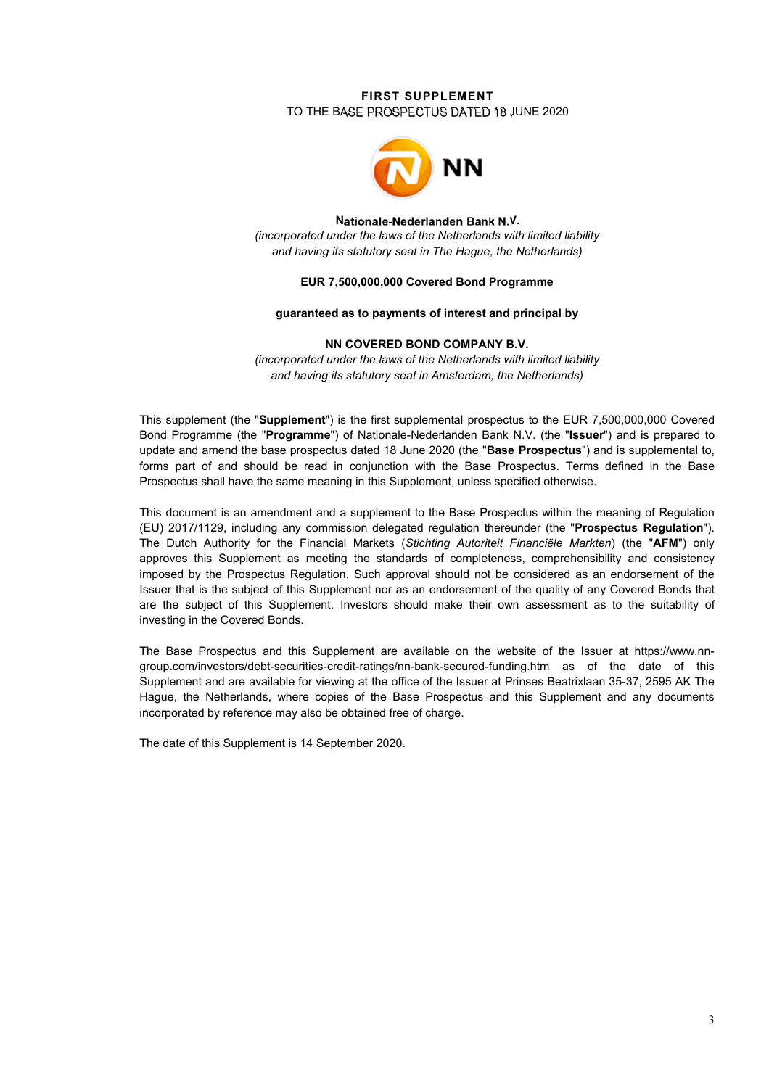# **FIRST SUPPLEMENT**

TO THE BASE PROSPECTUS DATED 18 JUNE 2020



#### **Nationale-Nederlanden Bank N.V.**

*(incorporated under the laws of the Netherlands with limited liability and having its statutory seat in The Hague, the Netherlands)* 

### **EUR 7,500,000,000 Covered Bond Programme**

#### **guaranteed as to payments of interest and principal by**

#### **NN COVERED BOND COMPANY B.V.**

*(incorporated under the laws of the Netherlands with limited liability and having its statutory seat in Amsterdam, the Netherlands)*

This supplement (the "**Supplement**") is the first supplemental prospectus to the EUR 7,500,000,000 Covered Bond Programme (the "**Programme**") of Nationale-Nederlanden Bank N.V. (the "**Issuer**") and is prepared to update and amend the base prospectus dated 18 June 2020 (the "**Base Prospectus**") and is supplemental to, forms part of and should be read in conjunction with the Base Prospectus. Terms defined in the Base Prospectus shall have the same meaning in this Supplement, unless specified otherwise.

This document is an amendment and a supplement to the Base Prospectus within the meaning of Regulation (EU) 2017/1129, including any commission delegated regulation thereunder (the "**Prospectus Regulation**"). The Dutch Authority for the Financial Markets (*Stichting Autoriteit Financiële Markten*) (the "**AFM**") only approves this Supplement as meeting the standards of completeness, comprehensibility and consistency imposed by the Prospectus Regulation. Such approval should not be considered as an endorsement of the Issuer that is the subject of this Supplement nor as an endorsement of the quality of any Covered Bonds that are the subject of this Supplement. Investors should make their own assessment as to the suitability of investing in the Covered Bonds.

The Base Prospectus and this Supplement are available on the website of the Issuer at https://www.nngroup.com/investors/debt-securities-credit-ratings/nn-bank-secured-funding.htm as of the date of this Supplement and are available for viewing at the office of the Issuer at Prinses Beatrixlaan 35-37, 2595 AK The Hague, the Netherlands, where copies of the Base Prospectus and this Supplement and any documents incorporated by reference may also be obtained free of charge.

The date of this Supplement is 14 September 2020.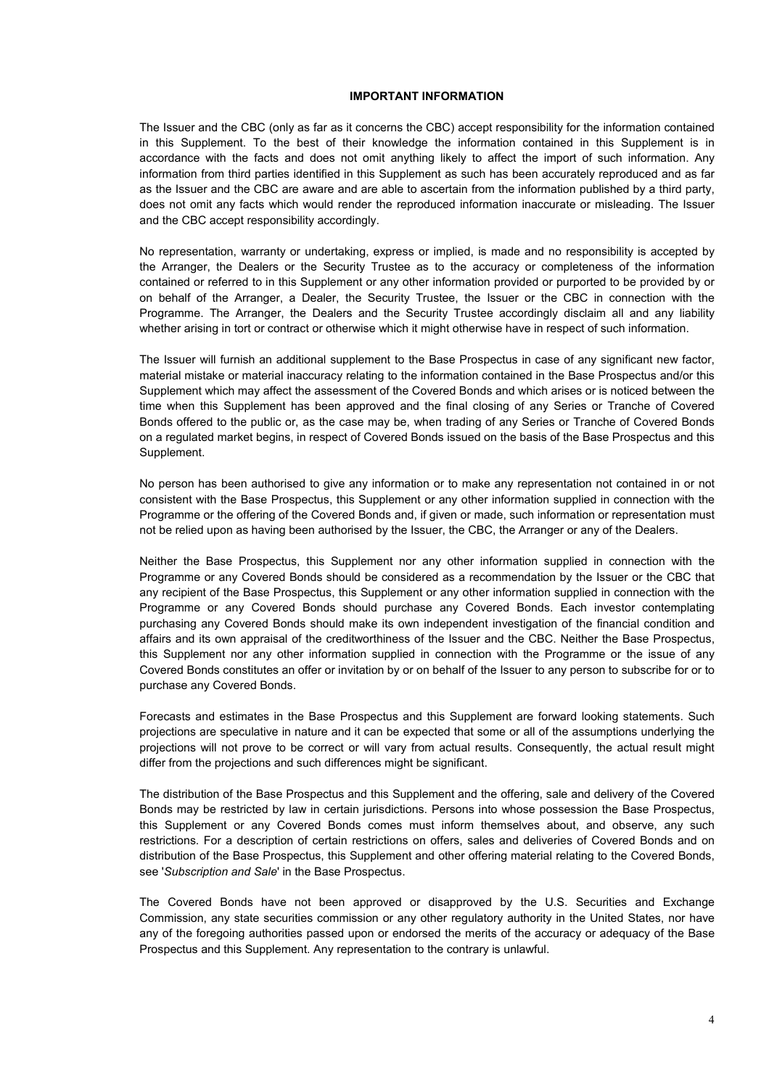## **IMPORTANT INFORMATION**

The Issuer and the CBC (only as far as it concerns the CBC) accept responsibility for the information contained in this Supplement. To the best of their knowledge the information contained in this Supplement is in accordance with the facts and does not omit anything likely to affect the import of such information. Any information from third parties identified in this Supplement as such has been accurately reproduced and as far as the Issuer and the CBC are aware and are able to ascertain from the information published by a third party, does not omit any facts which would render the reproduced information inaccurate or misleading. The Issuer and the CBC accept responsibility accordingly.

No representation, warranty or undertaking, express or implied, is made and no responsibility is accepted by the Arranger, the Dealers or the Security Trustee as to the accuracy or completeness of the information contained or referred to in this Supplement or any other information provided or purported to be provided by or on behalf of the Arranger, a Dealer, the Security Trustee, the Issuer or the CBC in connection with the Programme. The Arranger, the Dealers and the Security Trustee accordingly disclaim all and any liability whether arising in tort or contract or otherwise which it might otherwise have in respect of such information.

The Issuer will furnish an additional supplement to the Base Prospectus in case of any significant new factor, material mistake or material inaccuracy relating to the information contained in the Base Prospectus and/or this Supplement which may affect the assessment of the Covered Bonds and which arises or is noticed between the time when this Supplement has been approved and the final closing of any Series or Tranche of Covered Bonds offered to the public or, as the case may be, when trading of any Series or Tranche of Covered Bonds on a regulated market begins, in respect of Covered Bonds issued on the basis of the Base Prospectus and this Supplement.

No person has been authorised to give any information or to make any representation not contained in or not consistent with the Base Prospectus, this Supplement or any other information supplied in connection with the Programme or the offering of the Covered Bonds and, if given or made, such information or representation must not be relied upon as having been authorised by the Issuer, the CBC, the Arranger or any of the Dealers.

Neither the Base Prospectus, this Supplement nor any other information supplied in connection with the Programme or any Covered Bonds should be considered as a recommendation by the Issuer or the CBC that any recipient of the Base Prospectus, this Supplement or any other information supplied in connection with the Programme or any Covered Bonds should purchase any Covered Bonds. Each investor contemplating purchasing any Covered Bonds should make its own independent investigation of the financial condition and affairs and its own appraisal of the creditworthiness of the Issuer and the CBC. Neither the Base Prospectus, this Supplement nor any other information supplied in connection with the Programme or the issue of any Covered Bonds constitutes an offer or invitation by or on behalf of the Issuer to any person to subscribe for or to purchase any Covered Bonds.

Forecasts and estimates in the Base Prospectus and this Supplement are forward looking statements. Such projections are speculative in nature and it can be expected that some or all of the assumptions underlying the projections will not prove to be correct or will vary from actual results. Consequently, the actual result might differ from the projections and such differences might be significant.

The distribution of the Base Prospectus and this Supplement and the offering, sale and delivery of the Covered Bonds may be restricted by law in certain jurisdictions. Persons into whose possession the Base Prospectus, this Supplement or any Covered Bonds comes must inform themselves about, and observe, any such restrictions. For a description of certain restrictions on offers, sales and deliveries of Covered Bonds and on distribution of the Base Prospectus, this Supplement and other offering material relating to the Covered Bonds, see '*Subscription and Sale*' in the Base Prospectus.

The Covered Bonds have not been approved or disapproved by the U.S. Securities and Exchange Commission, any state securities commission or any other regulatory authority in the United States, nor have any of the foregoing authorities passed upon or endorsed the merits of the accuracy or adequacy of the Base Prospectus and this Supplement. Any representation to the contrary is unlawful.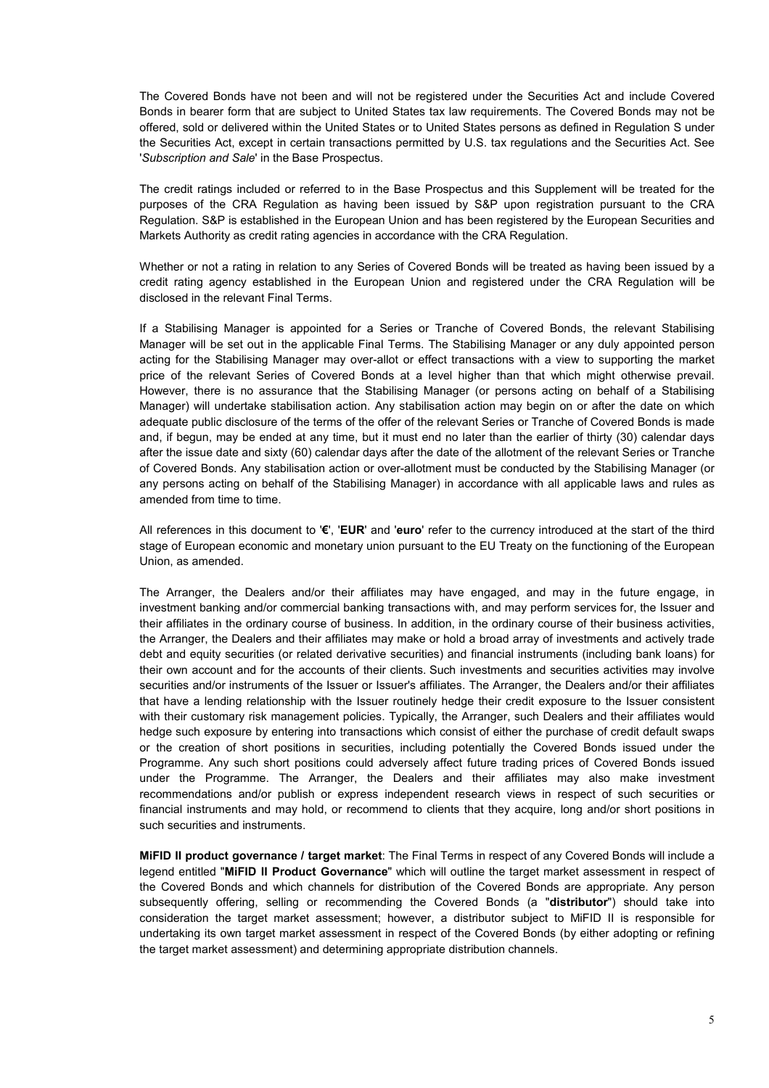The Covered Bonds have not been and will not be registered under the Securities Act and include Covered Bonds in bearer form that are subject to United States tax law requirements. The Covered Bonds may not be offered, sold or delivered within the United States or to United States persons as defined in Regulation S under the Securities Act, except in certain transactions permitted by U.S. tax regulations and the Securities Act. See '*Subscription and Sale*' in the Base Prospectus.

The credit ratings included or referred to in the Base Prospectus and this Supplement will be treated for the purposes of the CRA Regulation as having been issued by S&P upon registration pursuant to the CRA Regulation. S&P is established in the European Union and has been registered by the European Securities and Markets Authority as credit rating agencies in accordance with the CRA Regulation.

Whether or not a rating in relation to any Series of Covered Bonds will be treated as having been issued by a credit rating agency established in the European Union and registered under the CRA Regulation will be disclosed in the relevant Final Terms.

If a Stabilising Manager is appointed for a Series or Tranche of Covered Bonds, the relevant Stabilising Manager will be set out in the applicable Final Terms. The Stabilising Manager or any duly appointed person acting for the Stabilising Manager may over-allot or effect transactions with a view to supporting the market price of the relevant Series of Covered Bonds at a level higher than that which might otherwise prevail. However, there is no assurance that the Stabilising Manager (or persons acting on behalf of a Stabilising Manager) will undertake stabilisation action. Any stabilisation action may begin on or after the date on which adequate public disclosure of the terms of the offer of the relevant Series or Tranche of Covered Bonds is made and, if begun, may be ended at any time, but it must end no later than the earlier of thirty (30) calendar days after the issue date and sixty (60) calendar days after the date of the allotment of the relevant Series or Tranche of Covered Bonds. Any stabilisation action or over-allotment must be conducted by the Stabilising Manager (or any persons acting on behalf of the Stabilising Manager) in accordance with all applicable laws and rules as amended from time to time.

All references in this document to '**€**', '**EUR**' and '**euro**' refer to the currency introduced at the start of the third stage of European economic and monetary union pursuant to the EU Treaty on the functioning of the European Union, as amended.

The Arranger, the Dealers and/or their affiliates may have engaged, and may in the future engage, in investment banking and/or commercial banking transactions with, and may perform services for, the Issuer and their affiliates in the ordinary course of business. In addition, in the ordinary course of their business activities, the Arranger, the Dealers and their affiliates may make or hold a broad array of investments and actively trade debt and equity securities (or related derivative securities) and financial instruments (including bank loans) for their own account and for the accounts of their clients. Such investments and securities activities may involve securities and/or instruments of the Issuer or Issuer's affiliates. The Arranger, the Dealers and/or their affiliates that have a lending relationship with the Issuer routinely hedge their credit exposure to the Issuer consistent with their customary risk management policies. Typically, the Arranger, such Dealers and their affiliates would hedge such exposure by entering into transactions which consist of either the purchase of credit default swaps or the creation of short positions in securities, including potentially the Covered Bonds issued under the Programme. Any such short positions could adversely affect future trading prices of Covered Bonds issued under the Programme. The Arranger, the Dealers and their affiliates may also make investment recommendations and/or publish or express independent research views in respect of such securities or financial instruments and may hold, or recommend to clients that they acquire, long and/or short positions in such securities and instruments.

**MiFID II product governance / target market**: The Final Terms in respect of any Covered Bonds will include a legend entitled "**MiFID II Product Governance**" which will outline the target market assessment in respect of the Covered Bonds and which channels for distribution of the Covered Bonds are appropriate. Any person subsequently offering, selling or recommending the Covered Bonds (a "**distributor**") should take into consideration the target market assessment; however, a distributor subject to MiFID II is responsible for undertaking its own target market assessment in respect of the Covered Bonds (by either adopting or refining the target market assessment) and determining appropriate distribution channels.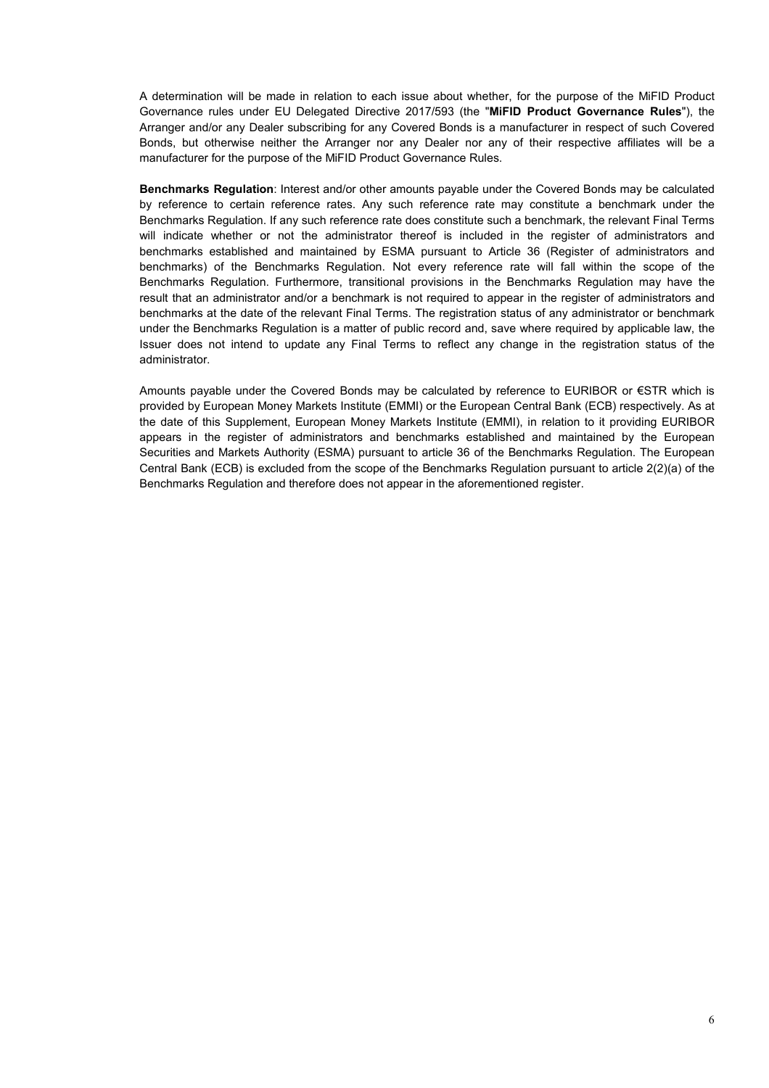A determination will be made in relation to each issue about whether, for the purpose of the MiFID Product Governance rules under EU Delegated Directive 2017/593 (the "**MiFID Product Governance Rules**"), the Arranger and/or any Dealer subscribing for any Covered Bonds is a manufacturer in respect of such Covered Bonds, but otherwise neither the Arranger nor any Dealer nor any of their respective affiliates will be a manufacturer for the purpose of the MiFID Product Governance Rules.

**Benchmarks Regulation**: Interest and/or other amounts payable under the Covered Bonds may be calculated by reference to certain reference rates. Any such reference rate may constitute a benchmark under the Benchmarks Regulation. If any such reference rate does constitute such a benchmark, the relevant Final Terms will indicate whether or not the administrator thereof is included in the register of administrators and benchmarks established and maintained by ESMA pursuant to Article 36 (Register of administrators and benchmarks) of the Benchmarks Regulation. Not every reference rate will fall within the scope of the Benchmarks Regulation. Furthermore, transitional provisions in the Benchmarks Regulation may have the result that an administrator and/or a benchmark is not required to appear in the register of administrators and benchmarks at the date of the relevant Final Terms. The registration status of any administrator or benchmark under the Benchmarks Regulation is a matter of public record and, save where required by applicable law, the Issuer does not intend to update any Final Terms to reflect any change in the registration status of the administrator.

Amounts payable under the Covered Bonds may be calculated by reference to EURIBOR or €STR which is provided by European Money Markets Institute (EMMI) or the European Central Bank (ECB) respectively. As at the date of this Supplement, European Money Markets Institute (EMMI), in relation to it providing EURIBOR appears in the register of administrators and benchmarks established and maintained by the European Securities and Markets Authority (ESMA) pursuant to article 36 of the Benchmarks Regulation. The European Central Bank (ECB) is excluded from the scope of the Benchmarks Regulation pursuant to article 2(2)(a) of the Benchmarks Regulation and therefore does not appear in the aforementioned register.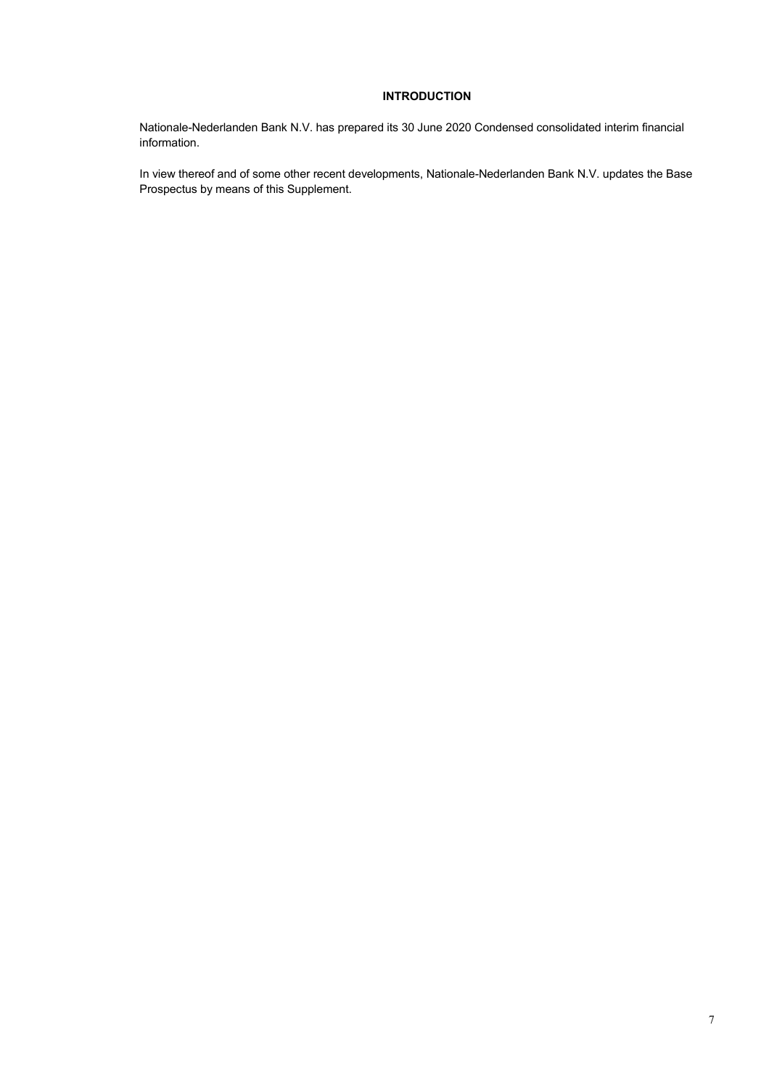# **INTRODUCTION**

Nationale-Nederlanden Bank N.V. has prepared its 30 June 2020 Condensed consolidated interim financial information.

In view thereof and of some other recent developments, Nationale-Nederlanden Bank N.V. updates the Base Prospectus by means of this Supplement.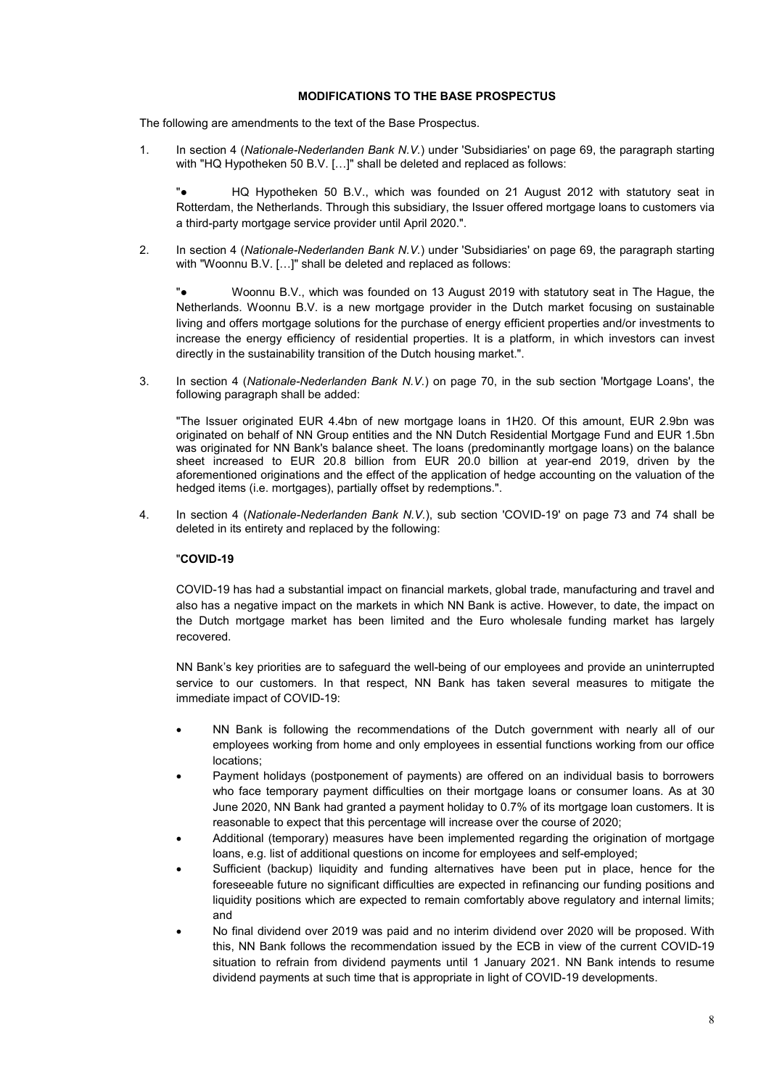## **MODIFICATIONS TO THE BASE PROSPECTUS**

The following are amendments to the text of the Base Prospectus.

1. In section 4 (*Nationale-Nederlanden Bank N.V.*) under 'Subsidiaries' on page 69, the paragraph starting with "HQ Hypotheken 50 B.V. [...]" shall be deleted and replaced as follows:

"● HQ Hypotheken 50 B.V., which was founded on 21 August 2012 with statutory seat in Rotterdam, the Netherlands. Through this subsidiary, the Issuer offered mortgage loans to customers via a third-party mortgage service provider until April 2020.".

2. In section 4 (*Nationale-Nederlanden Bank N.V.*) under 'Subsidiaries' on page 69, the paragraph starting with "Woonnu B.V. [...]" shall be deleted and replaced as follows:

"● Woonnu B.V., which was founded on 13 August 2019 with statutory seat in The Hague, the Netherlands. Woonnu B.V. is a new mortgage provider in the Dutch market focusing on sustainable living and offers mortgage solutions for the purchase of energy efficient properties and/or investments to increase the energy efficiency of residential properties. It is a platform, in which investors can invest directly in the sustainability transition of the Dutch housing market.".

3. In section 4 (*Nationale-Nederlanden Bank N.V.*) on page 70, in the sub section 'Mortgage Loans', the following paragraph shall be added:

"The Issuer originated EUR 4.4bn of new mortgage loans in 1H20. Of this amount, EUR 2.9bn was originated on behalf of NN Group entities and the NN Dutch Residential Mortgage Fund and EUR 1.5bn was originated for NN Bank's balance sheet. The loans (predominantly mortgage loans) on the balance sheet increased to EUR 20.8 billion from EUR 20.0 billion at year-end 2019, driven by the aforementioned originations and the effect of the application of hedge accounting on the valuation of the hedged items (i.e. mortgages), partially offset by redemptions.".

4. In section 4 (*Nationale-Nederlanden Bank N.V.*), sub section 'COVID-19' on page 73 and 74 shall be deleted in its entirety and replaced by the following:

## "**COVID-19**

COVID-19 has had a substantial impact on financial markets, global trade, manufacturing and travel and also has a negative impact on the markets in which NN Bank is active. However, to date, the impact on the Dutch mortgage market has been limited and the Euro wholesale funding market has largely recovered.

NN Bank's key priorities are to safeguard the well-being of our employees and provide an uninterrupted service to our customers. In that respect, NN Bank has taken several measures to mitigate the immediate impact of COVID-19:

- NN Bank is following the recommendations of the Dutch government with nearly all of our employees working from home and only employees in essential functions working from our office locations;
- Payment holidays (postponement of payments) are offered on an individual basis to borrowers who face temporary payment difficulties on their mortgage loans or consumer loans. As at 30 June 2020, NN Bank had granted a payment holiday to 0.7% of its mortgage loan customers. It is reasonable to expect that this percentage will increase over the course of 2020;
- Additional (temporary) measures have been implemented regarding the origination of mortgage loans, e.g. list of additional questions on income for employees and self-employed;
- Sufficient (backup) liquidity and funding alternatives have been put in place, hence for the foreseeable future no significant difficulties are expected in refinancing our funding positions and liquidity positions which are expected to remain comfortably above regulatory and internal limits; and
- No final dividend over 2019 was paid and no interim dividend over 2020 will be proposed. With this, NN Bank follows the recommendation issued by the ECB in view of the current COVID-19 situation to refrain from dividend payments until 1 January 2021. NN Bank intends to resume dividend payments at such time that is appropriate in light of COVID-19 developments.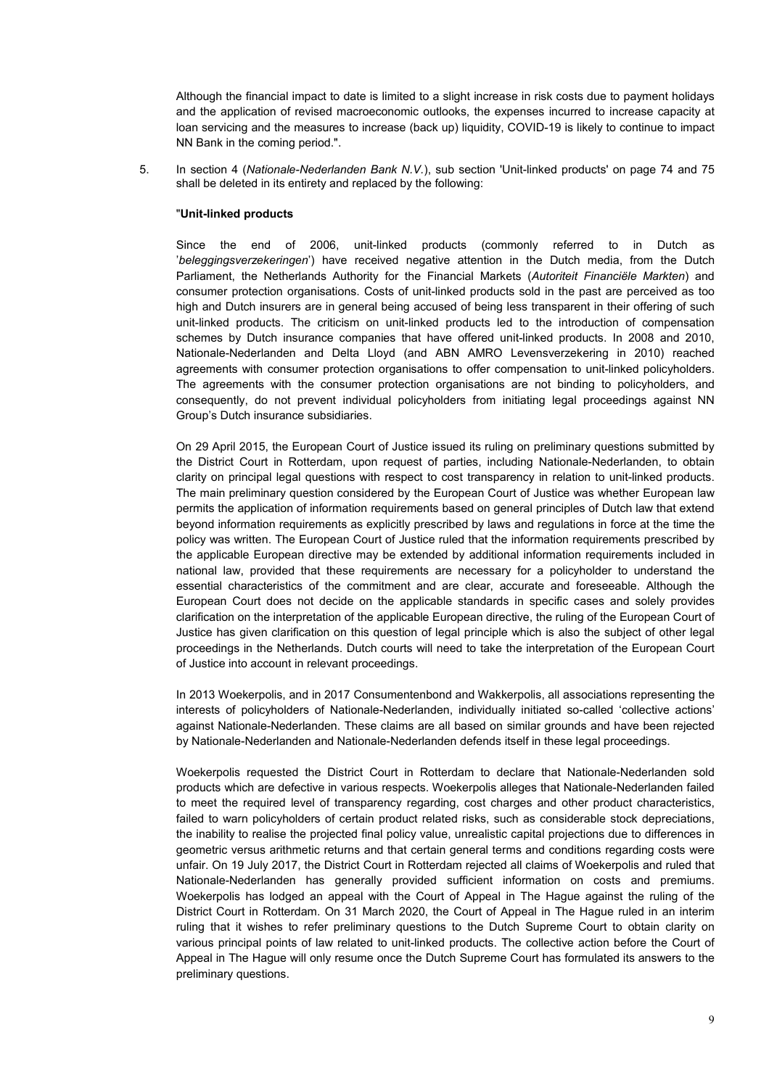Although the financial impact to date is limited to a slight increase in risk costs due to payment holidays and the application of revised macroeconomic outlooks, the expenses incurred to increase capacity at loan servicing and the measures to increase (back up) liquidity, COVID-19 is likely to continue to impact NN Bank in the coming period.".

5. In section 4 (*Nationale-Nederlanden Bank N.V.*), sub section 'Unit-linked products' on page 74 and 75 shall be deleted in its entirety and replaced by the following:

## "**Unit-linked products**

Since the end of 2006, unit-linked products (commonly referred to in Dutch as '*beleggingsverzekeringen*') have received negative attention in the Dutch media, from the Dutch Parliament, the Netherlands Authority for the Financial Markets (*Autoriteit Financiële Markten*) and consumer protection organisations. Costs of unit-linked products sold in the past are perceived as too high and Dutch insurers are in general being accused of being less transparent in their offering of such unit-linked products. The criticism on unit-linked products led to the introduction of compensation schemes by Dutch insurance companies that have offered unit-linked products. In 2008 and 2010, Nationale-Nederlanden and Delta Lloyd (and ABN AMRO Levensverzekering in 2010) reached agreements with consumer protection organisations to offer compensation to unit-linked policyholders. The agreements with the consumer protection organisations are not binding to policyholders, and consequently, do not prevent individual policyholders from initiating legal proceedings against NN Group's Dutch insurance subsidiaries.

On 29 April 2015, the European Court of Justice issued its ruling on preliminary questions submitted by the District Court in Rotterdam, upon request of parties, including Nationale-Nederlanden, to obtain clarity on principal legal questions with respect to cost transparency in relation to unit-linked products. The main preliminary question considered by the European Court of Justice was whether European law permits the application of information requirements based on general principles of Dutch law that extend beyond information requirements as explicitly prescribed by laws and regulations in force at the time the policy was written. The European Court of Justice ruled that the information requirements prescribed by the applicable European directive may be extended by additional information requirements included in national law, provided that these requirements are necessary for a policyholder to understand the essential characteristics of the commitment and are clear, accurate and foreseeable. Although the European Court does not decide on the applicable standards in specific cases and solely provides clarification on the interpretation of the applicable European directive, the ruling of the European Court of Justice has given clarification on this question of legal principle which is also the subject of other legal proceedings in the Netherlands. Dutch courts will need to take the interpretation of the European Court of Justice into account in relevant proceedings.

In 2013 Woekerpolis, and in 2017 Consumentenbond and Wakkerpolis, all associations representing the interests of policyholders of Nationale-Nederlanden, individually initiated so-called 'collective actions' against Nationale-Nederlanden. These claims are all based on similar grounds and have been rejected by Nationale-Nederlanden and Nationale-Nederlanden defends itself in these legal proceedings.

Woekerpolis requested the District Court in Rotterdam to declare that Nationale-Nederlanden sold products which are defective in various respects. Woekerpolis alleges that Nationale-Nederlanden failed to meet the required level of transparency regarding, cost charges and other product characteristics, failed to warn policyholders of certain product related risks, such as considerable stock depreciations, the inability to realise the projected final policy value, unrealistic capital projections due to differences in geometric versus arithmetic returns and that certain general terms and conditions regarding costs were unfair. On 19 July 2017, the District Court in Rotterdam rejected all claims of Woekerpolis and ruled that Nationale-Nederlanden has generally provided sufficient information on costs and premiums. Woekerpolis has lodged an appeal with the Court of Appeal in The Hague against the ruling of the District Court in Rotterdam. On 31 March 2020, the Court of Appeal in The Hague ruled in an interim ruling that it wishes to refer preliminary questions to the Dutch Supreme Court to obtain clarity on various principal points of law related to unit-linked products. The collective action before the Court of Appeal in The Hague will only resume once the Dutch Supreme Court has formulated its answers to the preliminary questions.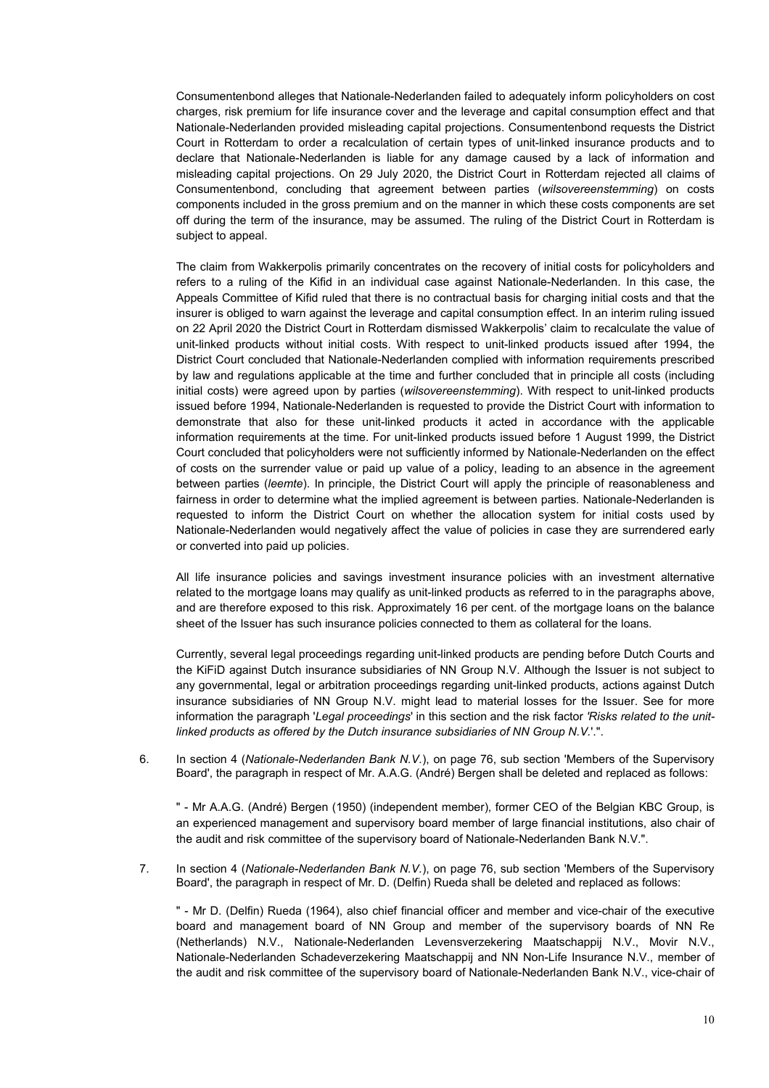Consumentenbond alleges that Nationale-Nederlanden failed to adequately inform policyholders on cost charges, risk premium for life insurance cover and the leverage and capital consumption effect and that Nationale-Nederlanden provided misleading capital projections. Consumentenbond requests the District Court in Rotterdam to order a recalculation of certain types of unit-linked insurance products and to declare that Nationale-Nederlanden is liable for any damage caused by a lack of information and misleading capital projections. On 29 July 2020, the District Court in Rotterdam rejected all claims of Consumentenbond, concluding that agreement between parties (*wilsovereenstemming*) on costs components included in the gross premium and on the manner in which these costs components are set off during the term of the insurance, may be assumed. The ruling of the District Court in Rotterdam is subject to appeal.

The claim from Wakkerpolis primarily concentrates on the recovery of initial costs for policyholders and refers to a ruling of the Kifid in an individual case against Nationale-Nederlanden. In this case, the Appeals Committee of Kifid ruled that there is no contractual basis for charging initial costs and that the insurer is obliged to warn against the leverage and capital consumption effect. In an interim ruling issued on 22 April 2020 the District Court in Rotterdam dismissed Wakkerpolis' claim to recalculate the value of unit-linked products without initial costs. With respect to unit-linked products issued after 1994, the District Court concluded that Nationale-Nederlanden complied with information requirements prescribed by law and regulations applicable at the time and further concluded that in principle all costs (including initial costs) were agreed upon by parties (*wilsovereenstemming*). With respect to unit-linked products issued before 1994, Nationale-Nederlanden is requested to provide the District Court with information to demonstrate that also for these unit-linked products it acted in accordance with the applicable information requirements at the time. For unit-linked products issued before 1 August 1999, the District Court concluded that policyholders were not sufficiently informed by Nationale-Nederlanden on the effect of costs on the surrender value or paid up value of a policy, leading to an absence in the agreement between parties (*leemte*). In principle, the District Court will apply the principle of reasonableness and fairness in order to determine what the implied agreement is between parties. Nationale-Nederlanden is requested to inform the District Court on whether the allocation system for initial costs used by Nationale-Nederlanden would negatively affect the value of policies in case they are surrendered early or converted into paid up policies.

All life insurance policies and savings investment insurance policies with an investment alternative related to the mortgage loans may qualify as unit-linked products as referred to in the paragraphs above, and are therefore exposed to this risk. Approximately 16 per cent. of the mortgage loans on the balance sheet of the Issuer has such insurance policies connected to them as collateral for the loans.

Currently, several legal proceedings regarding unit-linked products are pending before Dutch Courts and the KiFiD against Dutch insurance subsidiaries of NN Group N.V. Although the Issuer is not subject to any governmental, legal or arbitration proceedings regarding unit-linked products, actions against Dutch insurance subsidiaries of NN Group N.V. might lead to material losses for the Issuer. See for more information the paragraph '*Legal proceedings*' in this section and the risk factor *'Risks related to the unitlinked products as offered by the Dutch insurance subsidiaries of NN Group N.V.*'.".

6. In section 4 (*Nationale-Nederlanden Bank N.V.*), on page 76, sub section 'Members of the Supervisory Board', the paragraph in respect of Mr. A.A.G. (André) Bergen shall be deleted and replaced as follows:

" - Mr A.A.G. (André) Bergen (1950) (independent member), former CEO of the Belgian KBC Group, is an experienced management and supervisory board member of large financial institutions, also chair of the audit and risk committee of the supervisory board of Nationale-Nederlanden Bank N.V.".

7. In section 4 (*Nationale-Nederlanden Bank N.V.*), on page 76, sub section 'Members of the Supervisory Board', the paragraph in respect of Mr. D. (Delfin) Rueda shall be deleted and replaced as follows:

" - Mr D. (Delfin) Rueda (1964), also chief financial officer and member and vice-chair of the executive board and management board of NN Group and member of the supervisory boards of NN Re (Netherlands) N.V., Nationale-Nederlanden Levensverzekering Maatschappij N.V., Movir N.V., Nationale-Nederlanden Schadeverzekering Maatschappij and NN Non-Life Insurance N.V., member of the audit and risk committee of the supervisory board of Nationale-Nederlanden Bank N.V., vice-chair of